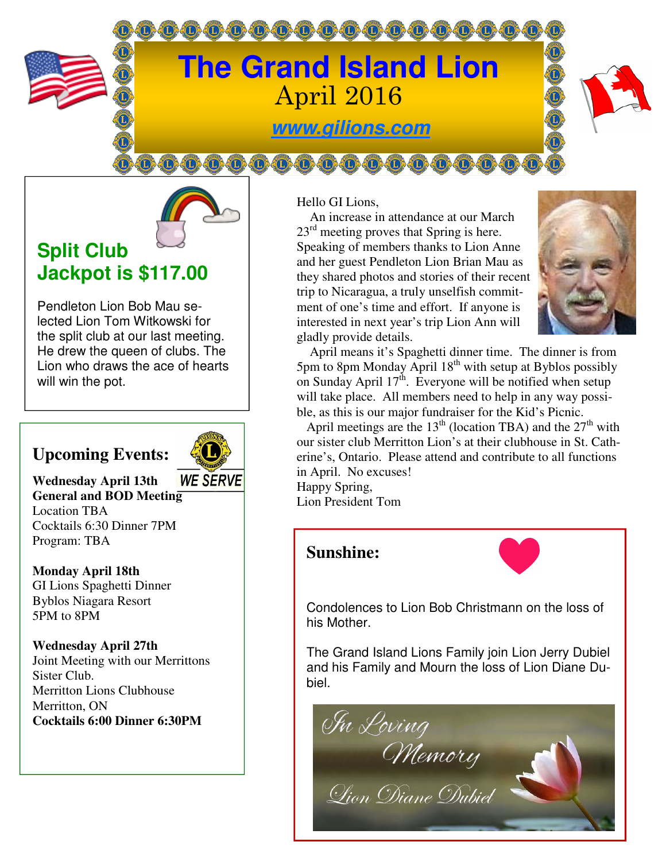



# **Split Club Jackpot is \$117.00**

Pendleton Lion Bob Mau selected Lion Tom Witkowski for the split club at our last meeting. He drew the queen of clubs. The Lion who draws the ace of hearts will win the pot.

# **Upcoming Events:**



**Wednesday April 13th General and BOD Meeting**  Location TBA Cocktails 6:30 Dinner 7PM Program: TBA

**Monday April 18th**  GI Lions Spaghetti Dinner Byblos Niagara Resort 5PM to 8PM

**Wednesday April 27th**  Joint Meeting with our Merrittons Sister Club. Merritton Lions Clubhouse Merritton, ON **Cocktails 6:00 Dinner 6:30PM** 

Hello GI Lions,

 An increase in attendance at our March  $23<sup>rd</sup>$  meeting proves that Spring is here. Speaking of members thanks to Lion Anne and her guest Pendleton Lion Brian Mau as they shared photos and stories of their recent trip to Nicaragua, a truly unselfish commitment of one's time and effort. If anyone is interested in next year's trip Lion Ann will gladly provide details.



 April means it's Spaghetti dinner time. The dinner is from 5pm to 8pm Monday April 18<sup>th</sup> with setup at Byblos possibly on Sunday April  $17<sup>th</sup>$ . Everyone will be notified when setup will take place. All members need to help in any way possible, as this is our major fundraiser for the Kid's Picnic.

April meetings are the  $13<sup>th</sup>$  (location TBA) and the  $27<sup>th</sup>$  with our sister club Merritton Lion's at their clubhouse in St. Catherine's, Ontario. Please attend and contribute to all functions in April. No excuses! Happy Spring,

Lion President Tom

# **Sunshine:**



Condolences to Lion Bob Christmann on the loss of his Mother.

The Grand Island Lions Family join Lion Jerry Dubiel and his Family and Mourn the loss of Lion Diane Dubiel.

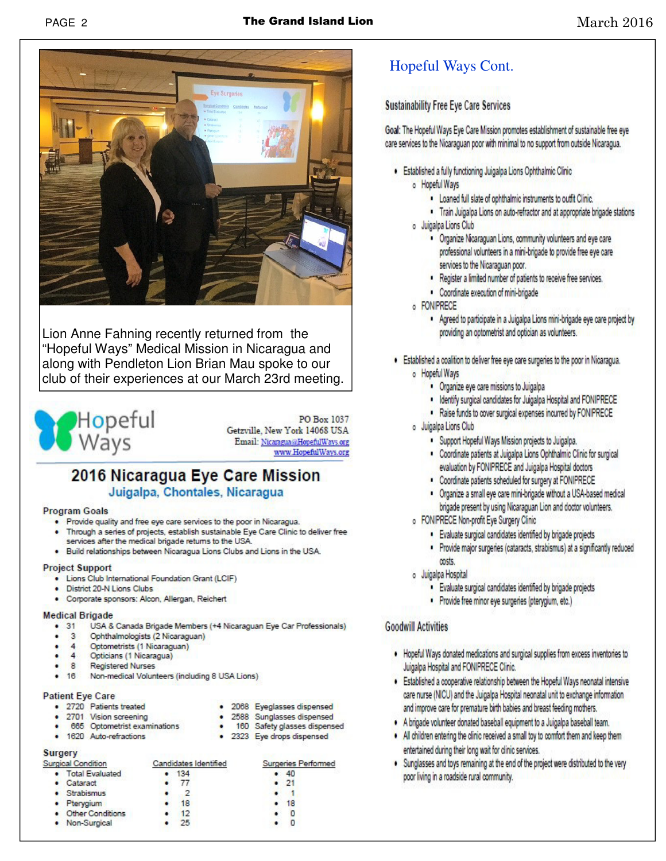

Lion Anne Fahning recently returned from the "Hopeful Ways" Medical Mission in Nicaragua and along with Pendleton Lion Brian Mau spoke to our club of their experiences at our March 23rd meeting.



PO Box 1037 Getzville, New York 14068 USA Email: Nicaragua@HopefulWays.org www.HopefulWays.org

· 2068 Eyeglasses dispensed

· 2588 Sunglasses dispensed

· 2323 Eye drops dispensed

· 160 Safety glasses dispensed

### 2016 Nicaragua Eye Care Mission Juigalpa, Chontales, Nicaragua

### **Program Goals**

- . Provide quality and free eye care services to the poor in Nicaragua.
- . Through a series of projects, establish sustainable Eye Care Clinic to deliver free services after the medical brigade returns to the USA.
- . Build relationships between Nicaragua Lions Clubs and Lions in the USA.

#### **Project Support**

- . Lions Club International Foundation Grant (LCIF)
- District 20-N Lions Clubs
- · Corporate sponsors: Alcon, Allergan, Reichert

#### **Medical Brigade**

- $.31$ USA & Canada Brigade Members (+4 Nicaraguan Eye Car Professionals)
- $\mathbf{R}$ Ophthalmologists (2 Nicaraguan) .
- 4 Optometrists (1 Nicaraguan)
- 4 Opticians (1 Nicaragua)
- **Registered Nurses** 8
- . 16 Non-medical Volunteers (including 8 USA Lions)

#### **Patient Eye Care**

- · 2720 Patients treated
- 2701 Vision screening
- 665 Optometrist examinations
- · 1620 Auto-refractions

#### **Surgery** Su

| индену<br>urgical Condition |                    | Candidates Identified |                 | Surgeries Performed |              |
|-----------------------------|--------------------|-----------------------|-----------------|---------------------|--------------|
|                             | • Total Evaluated  |                       | - 134           |                     | $\bullet$ 40 |
|                             | $\bullet$ Cataract |                       | -77             |                     | $\cdot$ 21   |
|                             | · Strabismus       |                       | 2               |                     |              |
|                             | · Pterygium        |                       | 18              |                     | 18           |
|                             | • Other Conditions |                       | 12 <sup>5</sup> |                     |              |
|                             | • Non-Surgical     |                       | 25              |                     |              |

## **Hopeful Ways Cont.**

### **Sustainability Free Eve Care Services**

Goal: The Hopeful Ways Eye Care Mission promotes establishment of sustainable free eye care services to the Nicaraguan poor with minimal to no support from outside Nicaragua.

- . Established a fully functioning Juigalpa Lions Ophthalmic Clinic o Hopeful Ways
	- . Loaned full slate of ophthalmic instruments to outfit Clinic.
	- . Train Juigalpa Lions on auto-refractor and at appropriate brigade stations
	- o Juigalpa Lions Club
		- · Organize Nicaraguan Lions, community volunteers and eye care professional volunteers in a mini-brigade to provide free eye care services to the Nicaraguan poor.
		- . Register a limited number of patients to receive free services.
		- Coordinate execution of mini-brigade
		- o FONIPRECE
			- . Agreed to participate in a Juigalpa Lions mini-brigade eye care project by providing an optometrist and optician as volunteers.
- . Established a coalition to deliver free eye care surgeries to the poor in Nicaragua. o Hopeful Ways
	- · Organize eye care missions to Juigalpa
	- . Identify surgical candidates for Juigalpa Hospital and FONIPRECE
	- . Raise funds to cover surgical expenses incurred by FONIPRECE
	- o Juigalpa Lions Club
		- · Support Hopeful Ways Mission projects to Juigalpa.
		- Coordinate patients at Juigalpa Lions Ophthalmic Clinic for surgical evaluation by FONIPRECE and Juigalpa Hospital doctors
		- . Coordinate patients scheduled for surgery at FONIPRECE
		- . Organize a small eve care mini-brigade without a USA-based medical brigade present by using Nicaraguan Lion and doctor volunteers.
	- o FONIPRECE Non-profit Eye Surgery Clinic
		- · Evaluate surgical candidates identified by brigade projects
		- Provide major surgeries (cataracts, strabismus) at a significantly reduced costs.
	- o Juigalpa Hospital
		- · Evaluate surgical candidates identified by brigade projects
		- Provide free minor eye surgeries (pterygium, etc.)

### **Goodwill Activities**

- . Hopeful Ways donated medications and surgical supplies from excess inventories to Juigalpa Hospital and FONIPRECE Clinic.
- . Established a cooperative relationship between the Hopeful Ways neonatal intensive care nurse (NICU) and the Juigalpa Hospital neonatal unit to exchange information and improve care for premature birth babies and breast feeding mothers.
- . A brigade volunteer donated baseball equipment to a Juigalpa baseball team.
- . All children entering the clinic received a small toy to comfort them and keep them entertained during their long wait for clinic services.
- . Sunglasses and toys remaining at the end of the project were distributed to the very poor living in a roadside rural community.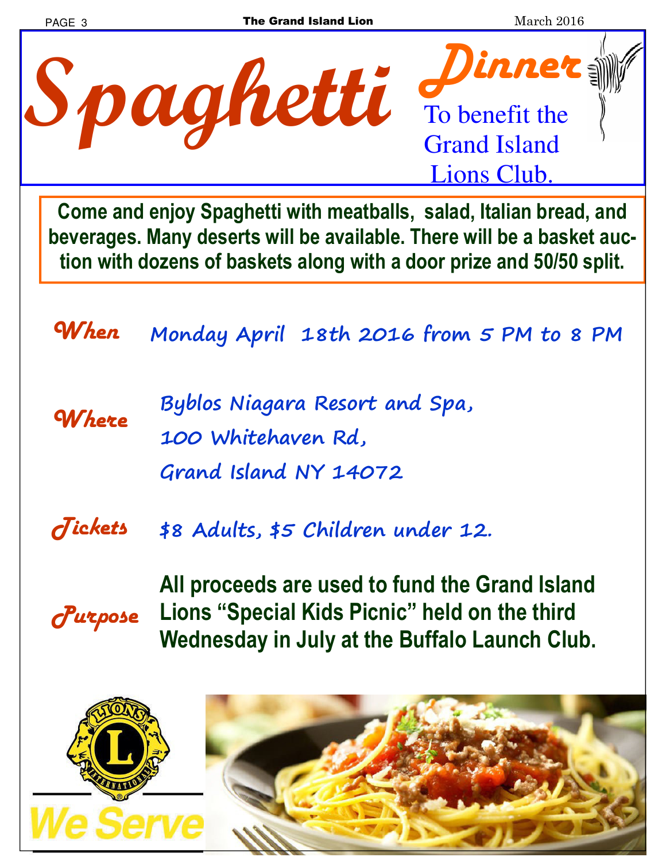